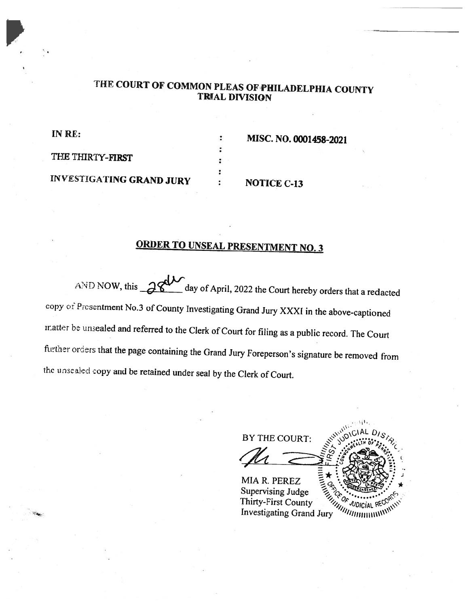## THE COURT OF COMMON PLEAS OF PHILADELPHIA COUNTY TRIAL DIVISION

÷

 $\ddot{\phantom{}}\cdot$ 

IN RE:

MISC. NO. 0001458-2021

THE THIRTY-FIRST

INVESTIGATING GRAND JURY

### NOTICE C-13

# ORDER TO UNSEAL PRESENTMENT NO. <sup>3</sup>

AND NOW, this  $\frac{\partial \mathcal{L}}{\partial x}$  day of April, 2022 the Court hereby orders that a redacted copy of Presentment No.3 of County Investigating Grand Jury XXXI in the above-captioned inatter be unsealed and referred to the Clerk of Court for filing as a public record. The Court further orders that the page containing the Grand Jury Foreperson's signature be removed from the unsealed copy and be retained under seal by the Clerk of Court.

BY THE COURT: MIA R. PERLZ<br>Supervising Judge<br>Thirty-First County<br>All More County MIA R. PEREZ Supervising Judge <sup>u</sup>dicial Investigating Grand Jury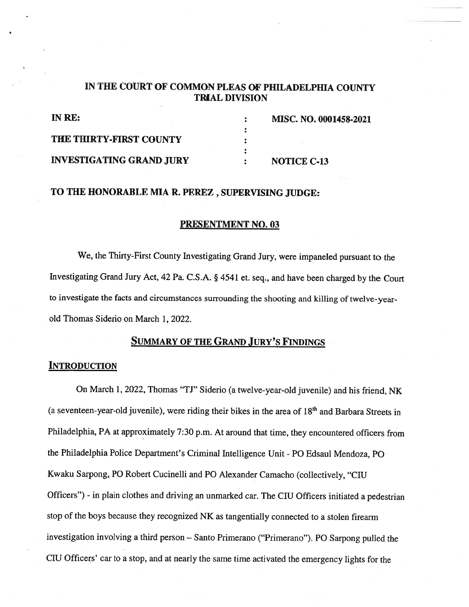## IN THE COURT OF COMMON PLEAS OF PHILADELPHIA COUNTY TRIAL DIVISION

| IN RE:                          | <b>MISC. NO. 0001458-2021</b> |
|---------------------------------|-------------------------------|
|                                 |                               |
| <b>THE THIRTY-FIRST COUNTY</b>  |                               |
|                                 |                               |
| <b>INVESTIGATING GRAND JURY</b> | <b>NOTICE C-13</b>            |

## TO THE HONORABLE MIA R. PEREZ , SUPERVISING JUDGE:

#### PRESENTMENT NO.03

We, the Thirty-First County Investigating Grand Jury, were impaneled pursuant to the Investigating Grand Jury Act, <sup>42</sup> Pa. C.S.A. § <sup>4541</sup> et. seq., and have been charged by the Court to investigate the facts and circumstances surrounding the shooting and killing of twelve-yearold Thomas Siderio on March 1, 2022.

#### SUMMARY OF THE GRAND JURY'S FINDINGS

#### **INTRODUCTION**

On March 1, 2022, Thomas "TJ" Siderio (a twelve-year-old juvenile) and his friend, NK (a seventeen-year-old juvenile), were riding their bikes in the area of  $18<sup>th</sup>$  and Barbara Streets in Philadelphia, PA at approximately 7:30 p.m. At around that time, they encountered officers from the Philadelphia Police Department's Criminal Intelligence Unit -P0 Edsaul Mendoza, P0 Kwaku Sarpong, P0 Robert Cucinelli and P0 Alexander Camacho (collectively, "CIU Officers") - in <sup>p</sup>lain clothes and driving an unmarked car. The CIU Officers initiated <sup>a</sup> pedestrian stop of the boys because they recognized NK as tangentially connected to <sup>a</sup> stolen firearm investigation involving <sup>a</sup> third person — Santo Primerano ("Primerano"). P0 Sarpong pulled the CR1 Officers' car to <sup>a</sup> stop, and at nearly the same time activated the emergency lights for the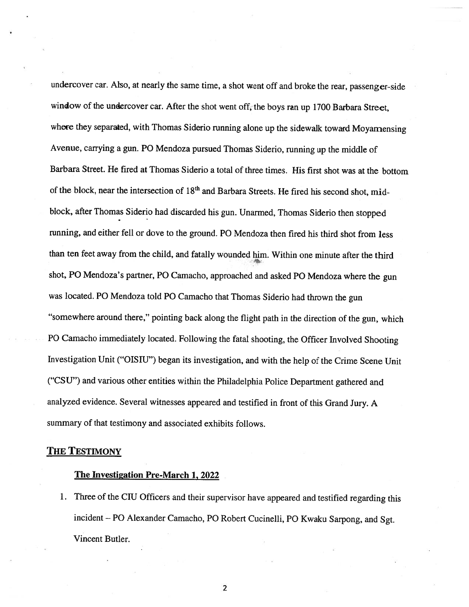undercover car. Also, at nearly the same time, <sup>a</sup> shot went off and broke the rear, passenger-side window of the undercover car. After the shot went off, the boys ran up <sup>1700</sup> Barbara Street, where they separated, with Thomas Siderio running alone up the sidewalk toward Moyamensing Avenue, carrying <sup>a</sup> gun. P0 Mendoza pursued Thomas Siderio, running up the middle of Barbara Street. He fired at Thomas Siderio <sup>a</sup> total of three times. His first shot was at the bottom of the block, near the intersection of  $18<sup>th</sup>$  and Barbara Streets. He fired his second shot, midblock, after Thomas Siderio had discarded his gun. Unarmed, Thomas Siderio then stopped running, and either fell or dove to the ground. P0 Mendoza then fired his third shot from less than ten feet away from the child, and fatally wounded him. Within one minute after the third shot, P0 Mendoza's partner, P0 Camacho, approached and asked P0 Mendoza where the gun was located. P0 Mendoza told P0 Camacho that Thomas Siderio had thrown the gun "somewhere around there," pointing back along the flight path in the direction of the gun, which P0 Camacho immediately located. Following the fatal shooting, the Officer Involved Shooting Investigation Unit ("OISIU") began its investigation, and with the help of the Crime Scene Unit ("CSU") and various other entities within the Philadelphia Police Department gathered and analyzed evidence. Several witnesses appeared and testified in front of this Grand Jury. <sup>A</sup> summary of that testimony and associated exhibits follows.

#### THE TESTIMONY

#### The Investigation Pre-March 1, 2022

1. Three of the CIU Officers and their supervisor have appeared and testified regarding this incident — P0 Alexander Camacho, P0 Robert Cucinelli, P0 Kwaku Sarpong, and Sgt. Vincent Butler.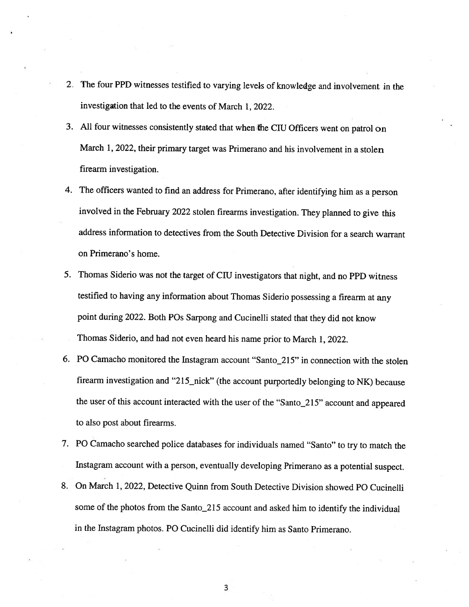- 2. The four PPD witnesses testified to varying levels of knowledge and involvement in the investigation that led to the events of March 1, 2022.
- 3. All four witnesses consistently stated that when the CTIJ Officers went on patrol on March 1, 2022, their primary target was Primerano and his involvement in a stolen firearm investigation.
- 4. The officers wanted to find an address for Primerano, after identifying him as <sup>a</sup> person involved in the February <sup>2022</sup> stolen firearms investigation. They <sup>p</sup>lanned to <sup>g</sup>ive this address information to detectives from the South Detective Division for <sup>a</sup> search warrant on Primerano's home.
- 5. Thomas Siderio was not the target of CIU investigators that night, and no PPD witness testified to having any information about Thomas Siderio possessing <sup>a</sup> firearm at any point during 2022. Both POs Sarpong and Cucinelli stated that they did not know Thomas Siderio, and had not even heard his name prior to March 1, 2022.
- 6. P0 Camacho monitored the Instagram account "Santo\_215" in connection with the stolen firearm investigation and "215\_nick" (the account purportedly belonging to NK) because the user of this account interacted with the user of the "Santo\_215" account and appeared to also post about firearms.
- 7. P0 Camacho searched police databases for individuals named "Santo" to try to match the Instagram account with <sup>a</sup> person, eventually developing Primerano as <sup>a</sup> potential suspect.
- 8. On March 1, 2022, Detective Quinn from South Detective Division showed P0 Cucinelli some of the <sup>p</sup>hotos from the Santo\_215 account and asked him to identify the individual in the Instagram <sup>p</sup>hotos. P0 Cucinelli did identify him as Santo Primerano.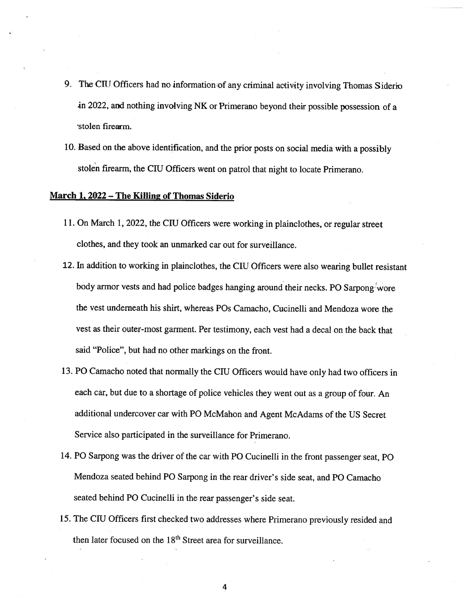- 9. The CIU Officers had no information of any criminal activity involving Thomas Siderio in 2022, and nothing involving NK or Primerano beyond their possible possession of <sup>a</sup> stolen firearm.
- 10. Based on the above identification, and the prior posts on social media with <sup>a</sup> possibly stolen firearm, the CIU Officers went on patrol that night to locate Primerano.

#### March 1, 2022 — The Killing of Thomas Siderio

- 11. On March 1, 2022, the CIU Officers were working in plainclothes, or regular street clothes, and they took an unmarked car out for surveillance.
- 12. In addition to working in plainclothes, the CIU Officers were also wearing bullet resistant body armor vests and had police badges hanging around their necks. PO Sarpong wore the vest underneath his shirt, whereas POs Camacho, Cucinelli and Mendoza wore the vest as their outer-most garment. Per testimony, each vest had <sup>a</sup> decal on the back that said "Police", but had no other markings on the front.
- 13. PO Camacho noted that normally the CIU Officers would have only had two officers in each car, but due to <sup>a</sup> shortage of police vehicles they went out as <sup>a</sup> group of four. An additional undercover car with P0 McMahon and Agent McAdams of the US Secret Service also participated in the surveillance for Primerano.
- 14. P0 Sarpong was the driver of the car with P0 Cucinelli in the front passenger seat, P0 Mendoza seated behind P0 Sarpong in the rear driver's side seat, and P0 Camacho seated behind P0 Cucinelli in the rear passenger's side seat.
- 15. The CIU Officers first checked two addresses where Primerano previously resided and then later focused on the 18<sup>th</sup> Street area for surveillance.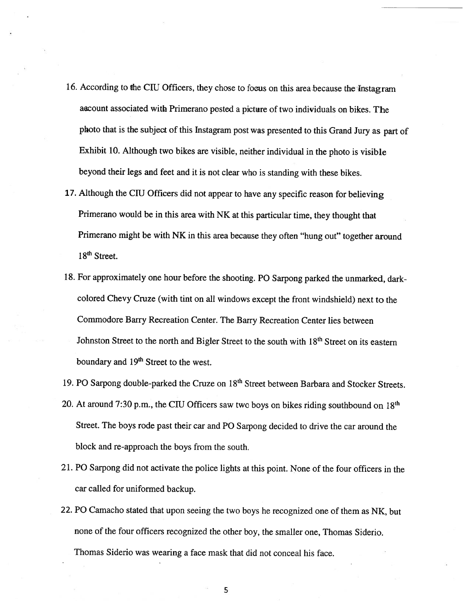- 16. According to the CIU Officers, they chose to focus on this area-because the Instagram account associated with Primerano posted <sup>a</sup> <sup>p</sup>icture of two individuals on bikes. The <sup>p</sup>hoto that is the subject of this Instagram post was presented to this Grand Jury as part of Exhibit 10. Although two bikes are visible, neither individual in the <sup>p</sup>hoto is visible beyond their legs and feet and it is not clear who is standing with these bikes.
- 17. Although the CIU Officers did not appear to have any specific reason for believing Primerano would be in this area with NK at this particular time, they thought that Primerano might be with NK in this area because they often "hung out" together around 18<sup>th</sup> Street.
- 18. For approximately one hour before the shooting. P0 Sarpong parked the unmarked, darkcolored Chevy Cruze (with tint on all windows except the front windshield) next to the Commodore Barry Recreation Center. The Barry Recreation Center lies between Johnston Street to the north and Bigler Street to the south with 18<sup>th</sup> Street on its eastern boundary and 19<sup>th</sup> Street to the west.
- 19. PO Sarpong double-parked the Cruze on 18<sup>th</sup> Street between Barbara and Stocker Streets.
- 20. At around 7:30 p.m., the CIU Officers saw two boys on bikes riding southbound on  $18<sup>th</sup>$ Street. The boys rode past their car and P0 Sarpong decided to drive the car around the block and re-approach the boys from the south.
- 21. P0 Sarpong did not activate the police lights at this point. None of the four officers in the car called for uniformed backup.
- 22. P0 Camacho stated that upon seeing the two boys he recognized one of them as NK, but none of the four officers recognized the other boy, the smaller one, Thomas Siderio. Thomas Siderio was wearing <sup>a</sup> face mask that did not conceal his face. -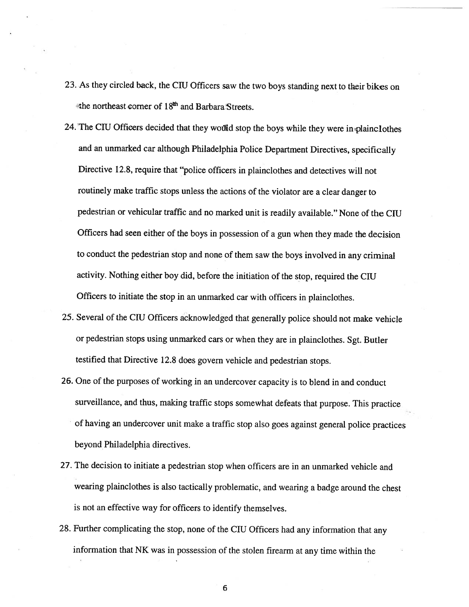- 23. As they circled back, the CIU Officers saw the two boys standing next to their bikes on the northeast corner of 18<sup>th</sup> and Barbara Streets.
- 24. The CIU Officers decided that they would stop the boys while they were in plainclothes and an unmarked car although Philadelphia Police Department Directives, specifically Directive 12.8, require that "police officers in <sup>p</sup>lainclothes and detectives will not routinely make traffic stops unless the actions of the violator are <sup>a</sup> clear danger to pedestrian or vehicular traffic and no marked unit is readily available." None of the CIU Officers had seen either of the boys in possession of <sup>a</sup> gun when they made the decision to conduct the pedestrian stop and none of them saw the boys involved in any criminal activity. Nothing either boy did, before the initiation of the stop, required the CR1 Officers to initiate the stop in an unmarked car with officers in <sup>p</sup>lainclothes.
- 25. Several of the CIU Officers acknowledged that generally police should not make vehicle or pedestrian stops using unmarked cars or when they are in <sup>p</sup>lainclothes. Sgt. Butler testified that Directive 12.8 does govern vehicle and pedestrian stops.
- 26. One of the purposes of working in an undercover capacity is to blend in and conduct surveillance, and thus, making traffic stops somewhat defeats that purpose. This practice of having an undercover unit make <sup>a</sup> traffic stop also goes against general police practices beyond Philadelphia directives.
- 27. The decision to initiate <sup>a</sup> pedestrian stop when officers are in an unmarked vehicle and wearing <sup>p</sup>lainclothes is also tactically problematic, and wearing <sup>a</sup> badge around the chest is not an effective way for officers to identify themselves.
- 28. Further complicating the stop, none of the CIU Officers had any information that any information that NK was in possession of the stolen firearm at any time within the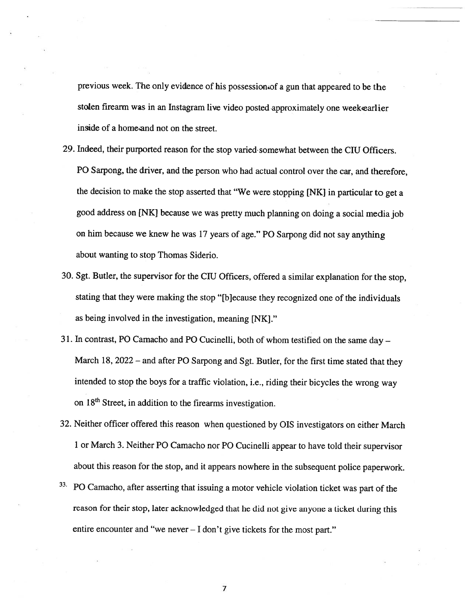previous week. The only evidence of his possession of <sup>a</sup> gun that appeare<sup>d</sup> to be the stolen firearm was in an Instagram live video posted approximately one weekearlier inside of <sup>a</sup> home and not on the street.

- 29. Indeed, their purported reason for the stop varied somewhat between the CIU Officers. P0 Sarpong, the driver, and the person who had actual control over the car, and therefore, the decision to make the stop asserted that "We were stopping [NK] in particular to ge<sup>t</sup> <sup>a</sup> goo<sup>d</sup> address on [NK] because we was pretty much <sup>p</sup>lanning on doing <sup>a</sup> social media job on him because we knew he was 17 years of age." PO Sarpong did not say anything about wanting to stop Thomas Siderio.
- 30. Sgt. Butler, the supervisor for the CIU Officers, offered <sup>a</sup> similar explanation for the stop, stating that they were making the stop "[bJecause they recognized one of the individuals as being involved in the investigation, meaning [NK]."
- 31. In contrast, P0 Camacho and P0 Cucinelli, both of whom testified on the same day March 18, 2022 – and after PO Sarpong and Sgt. Butler, for the first time stated that they intended to stop the boys for <sup>a</sup> traffic violation, i.e., riding their bicycles the wrong way on 18<sup>th</sup> Street, in addition to the firearms investigation.
- 32. Neither officer offered this reason when questioned by OIS investigators on either March <sup>1</sup> or March 3. Neither PC Camacho nor P0 Cucinelli appear to have told their supervisor about this reason for the stop, and it appears nowhere in the subsequent police paperwork.
- <sup>33</sup>. PO Camacho, after asserting that issuing a motor vehicle violation ticket was part of the reason for their stop, later acknowledged that he did not <sup>g</sup>ive anyone <sup>a</sup> ticket during this entire encounter and "we never — <sup>I</sup> don't <sup>g</sup>ive tickets for the most part."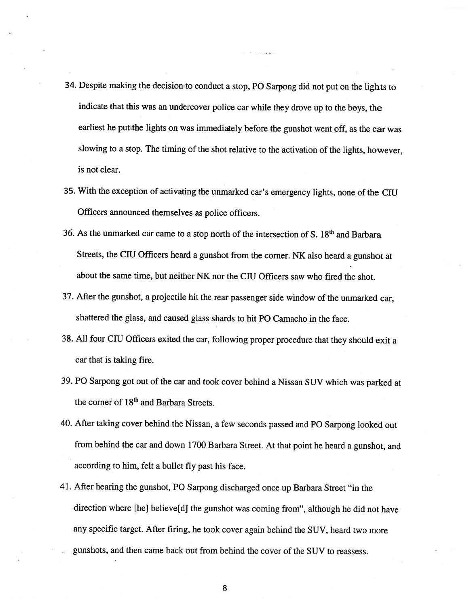- 34. Despite making the decision to conduct <sup>a</sup> stop, PC Sarpong did not put on the lights to indicate that this was an undercover police car while they drove up to the boys, the earliest he put the lights on was immediately before the gunshot went off, as the car was slowing to <sup>a</sup> stop. The timing of the shot relative to the activation of the lights, however, is not clear.
- 35. With the exception of activating the unmarked car's emergency lights, none of the CR1 Officers announced themselves as police officers.
- 36. As the unmarked car came to a stop north of the intersection of S.  $18<sup>th</sup>$  and Barbara Streets, the CIU Officers heard <sup>a</sup> gunshot from the corner. NK also heard <sup>a</sup> gunshot at about the same time, but neither NK nor the CR1 Officers saw who fired the shot.
- 37. After the gunshot, <sup>a</sup> projectile hit the rear passenger side window of the unmarked car, shattered the glass, and caused glass shards to hit PO Camacho in the face.
- 38. All four CIU Officers exited the car, following proper procedure that they should exit <sup>a</sup> car that is taking fire.
- 39. P0 Sarpong got out of the car and took cover behind <sup>a</sup> Nissan SUV which was parked at the corner of 18<sup>th</sup> and Barbara Streets.
- 40. After taking cover behind the Nissan, <sup>a</sup> few seconds passed and PC Sarpong looked out from behind the car and down <sup>1700</sup> Barbara Street. At that point he heard <sup>a</sup> gunshot, and according to him, felt <sup>a</sup> bullet fly past his face.
- 41. After hearing the gunshot, P0 Sarpong discharged once up Barbara Street "in the direction where [he] believe[d] the gunshot was coming from", although he did not have any specific target. After firing, he took cover again behind the SUV, heard two more gunshots, and then came back out from behind the cover of the SUV to reassess.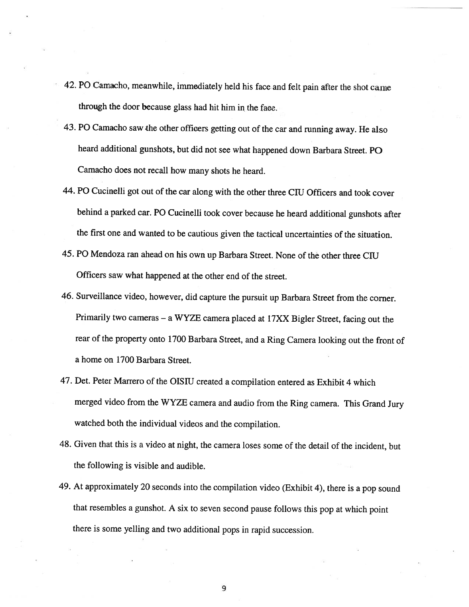- 42. P0 Camacho, meanwhile, immediately held his face and felt pain after the shot came through the door because <sup>g</sup>lass had hit him in the face.
- 43. P0 Camacho saw the other officers getting out of the car and running away. He also heard additional gunshots, but did not see what happened down Barbara Street. PO Camacho does not recall how many shots he heard.
- 44. PO Cucinelli got out of the car along with the other three CIU Officers and took cover behind <sup>a</sup> parked car. P0 Cucinelli took cover because he heard additional gunshots after the first one and wanted to be cautious <sup>g</sup>iven the tactical uncertainties of the situation.
- 45. P0 Mendoza ran ahead on his own up Barbara Street. None of the other three CIU Officers saw what happened at the other end of the street.
- 46. Surveillance video, however, did capture the pursuit up Barbara Street from the corner. Primarily two cameras — <sup>a</sup> WYZE camera <sup>p</sup>laced at 17XX Bigler Street, facing out the rear of the property onto <sup>1700</sup> Barbara Street, and <sup>a</sup> Ring Camera looking out the front of <sup>a</sup> home on 1700 Barbara Street.
- 47. Det. Peter Marrero of the OISIU created a compilation entered as Exhibit 4 which merged video from the WYZE camera and audio from the Ring camera. This Grand Jury watched both the individual videos and the compilation.
- 48. Given that this is <sup>a</sup> video at night, the camera loses some of the detail of the incident, but the following is visible and audible.
- 49. At approximately <sup>20</sup> seconds into the compilation video (Exhibit 4), there is <sup>a</sup> pop sound that resembles <sup>a</sup> gunshot. <sup>A</sup> six to seven second pause follows this pop at which point there is some yelling and two additional pops in rapid succession.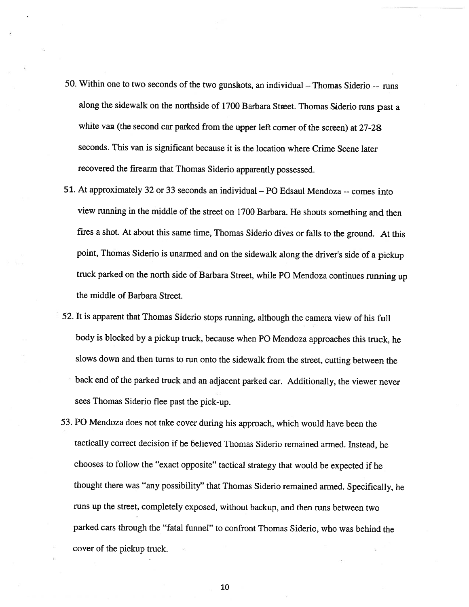- 50. Within one to two seconds of the two gunskots, an individual Thomas Siderio -- runs along the sidewalk on the northside of 1700 Barbara Street. Thomas Siderio runs past a white van (the second car parked from the upper left corner of the screen) at 27-28 seconds. This van is significant because it is the location where Crime Scene later recovered the firearm that Thomas Siderio apparently possessed.
- 51. At approximately 32 or 33 seconds an individual P0 Edsaul Mendoza --comes into view running in the middle of the street on <sup>1700</sup> Barbara. He shouts something and then fires <sup>a</sup> shot. At about this same time, Thomas Siderio dives or falls to the ground. At this point, Thomas Siderio is unarmed and on the sidewalk along the driver's side of <sup>a</sup> <sup>p</sup>ickup truck parked on the north side of Barbara Street, while P0 Mendoza continues running up the middle of Barbara Street.
- 52. It is apparent that Thomas Siderio stops running, although the camera view of his full body is blocked by <sup>a</sup> <sup>p</sup>ickup truck, because when P0 Mendoza approaches this truck, he slows down and then turns to run onto the sidewalk from the street, cutting between the back end of the parked truck and an adjacent parked car. Additionally, the viewer never sees Thomas Siderio flee past the <sup>p</sup>ick-up.
- 53. P0 Mendoza does not take cover during his approach, which would have been the tactically correct decision if he believed Thomas Siderio remained armed. Instead, he chooses to follow the "exact opposite" tactical strategy that would be expected if he thought there was "any possibility" that Thomas Siderio remained armed. Specifically, he runs up the street, completely exposed, without backup, and then runs between two parked cars through the "fatal funnel" to confront Thomas Siderio, who was behind the cover of the pickup truck.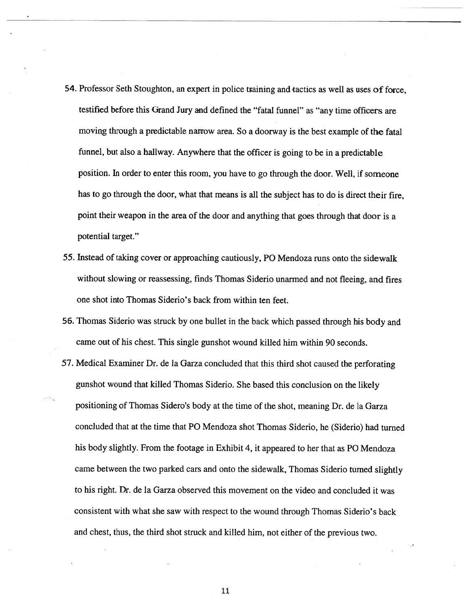- 54. Professor Seth Stoughton, an exper<sup>t</sup> in police training and tactics as well as uses of force, testified before this Grand Jury and defined the "fatal funnel" as "any time officers are moving through <sup>a</sup> predictable narrow area. So <sup>a</sup> doorway is the best example of the fatal funnel, but also <sup>a</sup> hallway. Anywhere that the officer is going to be in <sup>a</sup> predictable position. In order to enter this room, you have to go through the door. Well, if someone has to go through the door, what that means is all the subject has to do is direct their fire, point their weapon in the area of the door and anything that goes through that door is <sup>a</sup> potential target."
- 55. Instead of taking cover or approaching cautiously, P0 Mendoza runs onto the sidewalk without slowing or reassessing, finds Thomas Siderio unarmed and not fleeing, and fires one shot into Thomas Siderio's back from within ten feet.
- 56. Thomas Siderio was struck by one bullet in the back which passe<sup>d</sup> through his body and came out of his chest. This single gunshot wound killed him within 90 seconds.
- 57. Medical Examiner Dr. de la Garza concluded that this third shot caused the perforating gunshot wound that killed Thomas Siderio. She based this conclusion on the likely positioning of Thomas Sidero's body at the time of the shot, meaning Dr. de la Garza concluded that at the time that P0 Mendoza shot Thomas Siderio, he (Siderio) had turned his body slightly. From the footage in Exhibit 4, it appeared to her that as P0 Mendoza came between the two parked cars and onto the sidewalk, Thomas Siderio turned slightly to his right. Dr. de la Garza observed this movement on the video and concluded it was consistent with what she saw with respec<sup>t</sup> to the wound through Thomas Siderio's back and chest, thus, the third shot struck and killed him, not either of the previous two.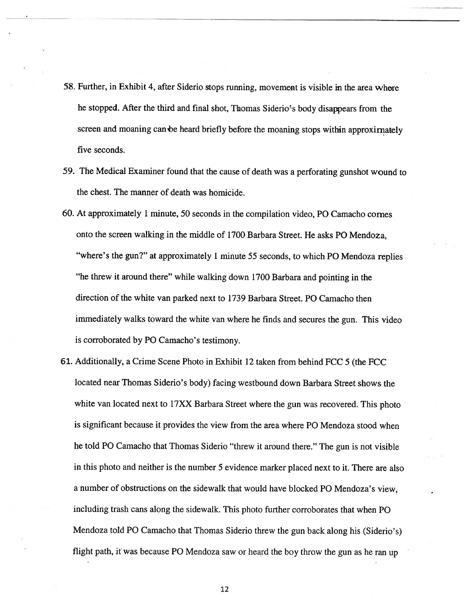- 58. Further, in Exhibit 4, after Siderio stops running, movement is visible in the area where he stopped. After the third and final shot, Thomas Siderio's body disappears from the screen and moaning can be heard briefly before the moaning stops within approximately five seconds.
- 59. The Medical Examiner found that the cause of death was <sup>a</sup> perforating gunshot wound to the chest. The manner of death was homicide.
- 60. At approximately <sup>1</sup> minute, 50 seconds in the compilation video, PC Camacho comes onto the screen walking in the middle of 1700 Barbara Street. He asks P0 Mendoza, "where's the gun?" at approximately 1 minute 55 seconds, to which PO Mendoza replies "he threw it around there" while walking down <sup>1700</sup> Barbara and pointing in the direction of the white van parked next to 1739 Barbara Street. P0 Camacho then immediately walks toward the white van where he finds and secures the gun. This video is corroborated by PC Camacho's testimony.
- 61. Additionally, <sup>a</sup> Crime Scene Photo in Exhibit 12 taken from behind FCC 5 (the FCC located near Thomas Siderio's body) facing westbound down Barbara Street shows the white van located next to 17XX Barbara Street where the gun was recovered. This photo is significant because it provides the view from the area where P0 Mendoza stood when he told P0 Camacho that Thomas Siderio "threw it around there." The gun is not visible in this <sup>p</sup>hoto and neither is the number <sup>5</sup> evidence marker <sup>p</sup>laced next to it. There are also <sup>a</sup> number of obstructions on the sidewalk that would have blocked P0 Mendoza's view, including trash cans along the sidewalk. This photo further corroborates that when P0 Mendoza told P0 Camacho that Thomas Siderio threw the gun back along his (Siderio's) flight path, it was because P0 Mendoza saw or heard the boy throw the gun as he ran up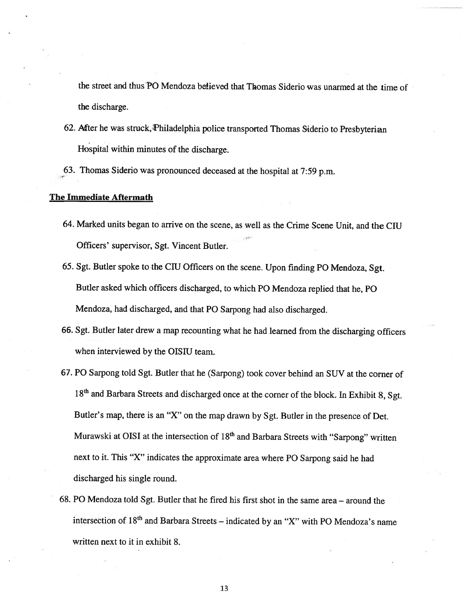the street and thus PO Mendoza believed that Thomas Siderio was unarmed at the time of the discharge.

- 62. After he was struck, Philadelphia police transported Thomas Siderio to Presbyterian Hospital within minutes of the discharge.
- 63. Thomas Siderio was pronounce<sup>d</sup> deceased at the hospital at 7:59 p.m.

#### The Immediate Aftermath

- 64. Marked units began to arrive on the scene, as well as the Crime Scene Unit, and the CIU Officers' supervisor, Sgt. Vincent Butler.
- 65. Sgt. Butler spoke to the CIU Officers on the scene. Upon finding PO Mendoza, Sgt. Butler asked which officers discharged, to which P0 Mendoza replied that he, P0 Mendoza, had discharged, and that P0 Sarpong had also discharged.
- 66. Sgt. Butler later drew <sup>a</sup> map recounting what he had learned from the discharging officers when interviewed by the OISIU team.
- 67. P0 Sarpong told Sgt. Butler that he (Sarpong) took cover behind an SUV at the corner of 18<sup>th</sup> and Barbara Streets and discharged once at the corner of the block. In Exhibit 8, Sgt. Butler's map, there is an "X" on the map drawn by Sgt. Butler in the presence of Det. Murawski at OISI at the intersection of  $18<sup>th</sup>$  and Barbara Streets with "Sarpong" written next to it. This "X" indicates the approximate area where P0 Sarpong said he had discharged his single round.
- 68. P0 Mendoza told Sgt. Butler that he fired his first shot in the same area around the intersection of  $18<sup>th</sup>$  and Barbara Streets – indicated by an "X" with PO Mendoza's name written next to it in exhibit 8.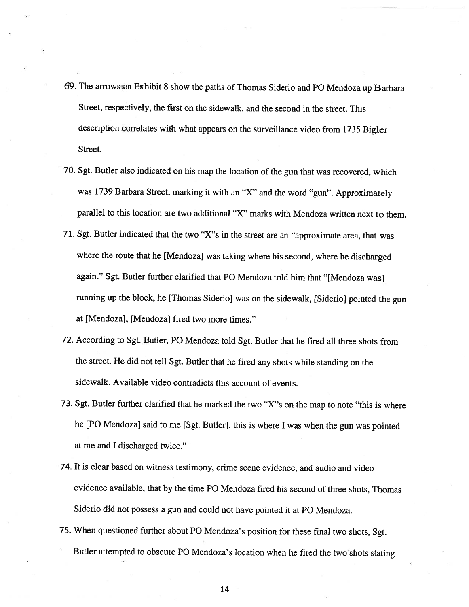- 69. The arrows on Exhibit 8 show the paths of Thomas Siderio and PO Mendoza up Barbara Street, respectively, the first on the sidewalk, and the second in the street. This description correlates with what appears on the surveillance video from <sup>1735</sup> Bigler Street.
- 70. Sgt. Butler also indicated on his map the location of the gun that was recovered, which was <sup>1739</sup> Barbara Street, marking it with an "X" and the word "gun". Approximately parallel to this location are two additional "X" marks with Mendoza written next to them.
- 71. Sgt. Butler indicated that the two "X"s in the street are an "approximate area, that was where the route that he [Mendoza] was taking where his second, where he discharged again." Sgt. Butler further clarified that P0 Mendoza told him that "[Mendoza was] running up the block, he [Thomas Siderio] was on the sidewalk, [Siderio] pointed the gun at [Mendoza], [Mendoza] fired two more times."
- 72. According to Sgt. Butler, P0 Mendoza told Sgt. Butler that he fired all three shots from the street. He did not tell Sgt. Butler that he fired any shots while standing on the sidewalk. Available video contradicts this account of events.
- 73. Sgt. Butler further clarified that he marked the two "X"s on the map to note "this is where he [P0 Mendoza] said to me [Sgt. Butler], this is where <sup>I</sup> was when the gun was pointed at me and I discharged twice."
- 74. It is clear based on witness testimony, crime scene evidence, and audio and video evidence available, that by the time P0 Mendoza fired his second of three shots, Thomas Siderio did not possess <sup>a</sup> gun and could not have pointed it at P0 Mendoza.
- 75. When questioned further about P0 Mendoza's position for these final two shots, Sgt. Butler attempted to obscure P0 Mendoza's location when he fired the two shots stating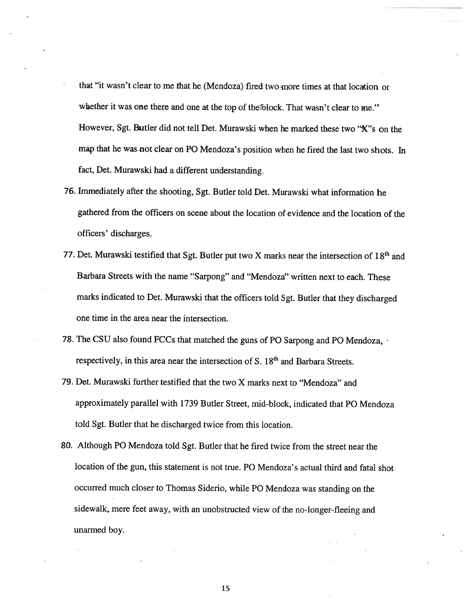- that "it wasn't clear to me that he (Mendoza) fired two more times at that location or whether it was one there and one at the top of the block. That wasn't clear to me." However, Sgt. Butler did not tell Det. Murawski when he marked these two "X"s on the map that he was not clear on P0 Mendoza's position when he fired the last two shots. In fact, Det. Murawski had <sup>a</sup> different understanding.
- 76. Immediately after the shooting, Sgt. Butler told Det. Murawski what information he gathered from the officers on scene about the location of evidence and the location of the officers' discharges.
- 77. Det. Murawski testified that Sgt. Butler put two X marks near the intersection of  $18<sup>th</sup>$  and Barbara Streets with the name "Sarpong" and "Mendoza" written next to each. These marks indicated to Det. Murawski that the officers told Sgt. Butler that they discharged one time in the area near the intersection.
- 78. The CSU also found FCCs that matched the guns of PO Sarpong and PO Mendoza,  $\cdot$ respectively, in this area near the intersection of S. 18<sup>th</sup> and Barbara Streets.
- 79. Det. Murawski further testified that the two X marks next to "Mendoza" and approximately parallel with 1739 Butler Street, mid-block, indicated that P0 Mendoza told Sgt. Butler that he discharged twice from this location.
- 80. Although P0 Mendoza told Sgt. Butler that he fired twice from the street near the location of the gun, this statement is not true. PO Mendoza's actual third and fatal shot occurred much closer to Thomas Siderio, while P0 Mendoza was standing on the sidewalk, mere feet away, with an unobstructed view of the no-longer-fleeing and unarmed boy.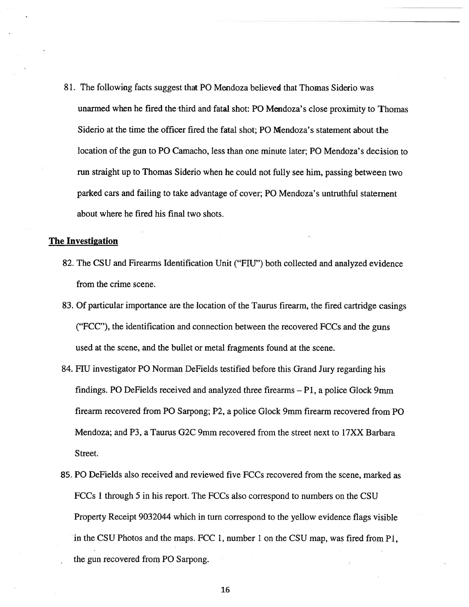81. The following facts sugges<sup>t</sup> that P0 Mendoza believed that Thomas Siderio was unarmed when he fired the third and fatal shot: PO Mendoza's close proximity to Thomas Siderio at the time the officer fired the fatal shot; P0 Mendoza's statement about the location of the gun to PO Camacho, less than one minute later; PO Mendoza's decision to run straight up to Thomas Siderio when he could not fully see him, passing between two parked cars and failing to take advantage of cover; P0 Mendoza's untruthful statement about where he fired his final two shots.

#### The Investigation

- 82. The CSU and Firearms Identification Unit ("FLU") both collected and analyzed evidence from the crime scene.
- 83. Of particular importance are the location of the Taurus firearm, the fired cartridge casings ("FCC"), the identification and connection between the recovered FCCs and the guns used at the scene, and the bullet or metal fragments found at the scene.
- 84. FIU investigator PO Norman DeFields testified before this Grand Jury regarding his findings. P0 DeFields received and analyzed three firearms — P1, <sup>a</sup> police Glock 9mm firearm recovered from P0 Sarpong; P2, <sup>a</sup> police Glock 9mm firearm recovered from P0 Mendoza; and P3, <sup>a</sup> Taurus G2C 9mm recovered from the street next to 17XX Barbara Street.
- 85. P0 DeFields also received and reviewed five FCCs recovered from the scene, marked as FCCs 1 through 5 in his report. The FCCs also correspond to numbers on the CSU Property Receipt 9032044 which in turn correspond to the yellow evidence flags visible in the CSU Photos and the maps. FCC 1, number 1 on the CSU map, was fired from P1, the gun recovered from P0 Sarpong.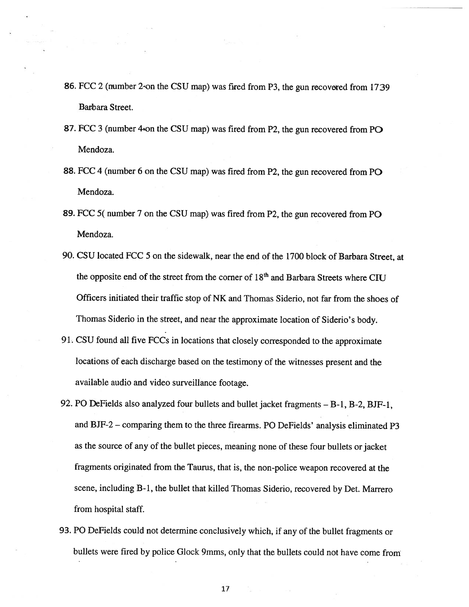- 86. FCC 2 (number 2-on the CSU map) was fired from P3, the gun recovered from 1739 Barbara Street.
- 87. FCC 3 (number 4\*on the CSU map) was fired from P2, the gun recovered from P $\odot$ Mendoza.
- 88. FCC <sup>4</sup> (number <sup>6</sup> on the CSU map) was fired from P2, the gun recovered from P0 Mendoza.
- 89. FCC 5( number <sup>7</sup> on the CSU map) was fired from P2, the gun recovered from P0 Mendoza.
- 90. CSU located FCC 5 on the sidewalk, near the end of the <sup>1700</sup> block of Barbara Street, at the opposite end of the street from the corner of 18<sup>th</sup> and Barbara Streets where CIU Officers initiated their traffic stop of NK and Thomas Siderio, not far from the shoes of Thomas Siderio in the Street, and near the approximate location of Siderio's body.
- 91. CSU found all five FCCs in locations that closely corresponded to the approximate locations of each discharge based on the testimony of the witnesses presen<sup>t</sup> and the available audio and video surveillance footage.
- 92. P0 DeFields also analyzed four bullets and bullet jacket fragments B-i, B-2, BJF-l, and BJF-2 — comparing them to the three firearms. P0 DeFields' analysis eliminated P3 as the source of any of the bullet <sup>p</sup>ieces, meaning none of these four bullets or jacket fragments originated from the Taurus, that is, the non-police weapon recovered at the scene, including B-i, the bullet that killed Thomas Siderio, recovered by Det. Marrero from hospital staff.
- 93. P0 DeFields could not determine conclusively which, if any of the bullet fragments or bullets were fired by police Glock 9mms, only that the bullets could not have come from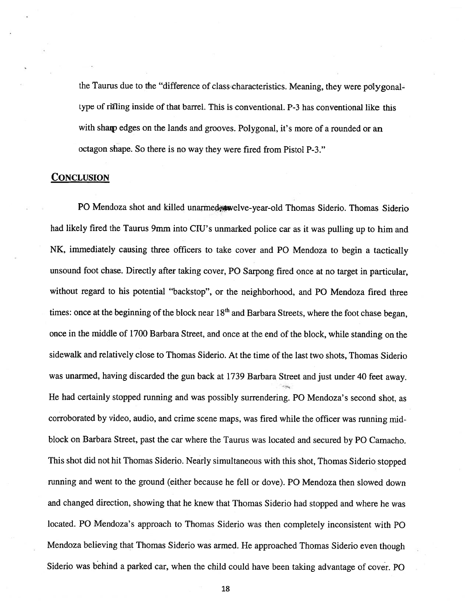the Taurus due to the "difference of class characteristics. Meaning, they were polygonaltype of rifling inside of that barrel. This is conventional. P-3 has conventional like this with sharp edges on the lands and grooves. Polygonal, it's more of a rounded or an octagon shape. So there is no way they were fired from Pistol P-3."

#### **CONCLUSION**

PO Mendoza shot and killed unarmedenvelve-year-old Thomas Siderio. Thomas Siderio had likely fired the Taurus 9mm into CIU's unmarked police car as it was pulling up to him and NK, immediately causing three officers to take cover and P0 Mendoza to begin <sup>a</sup> tactically unsound foot chase. Directly after taking cover, P0 Sarpong fired once at no target in particular, without regard to his potential "backstop", or the neighborhood, and P0 Mendoza fired three times: once at the beginning of the block near  $18<sup>th</sup>$  and Barbara Streets, where the foot chase began, once in the middle of <sup>1700</sup> Barbara Street, and once at the end of the block, while standing on the sidewalk and relatively close to Thomas Siderio. At the time of the last two shots, Thomas Siderio was unarmed, having discarded the gun back at <sup>1739</sup> Barbara Street and just under <sup>40</sup> feet away. He had certainly stopped running and was possibly surrendering. PO Mendoza's second shot, as corroborated by video, audio, and crime scene maps, was fired while the officer was running midblock on Barbara Street, pas<sup>t</sup> the car where the Taurus was located and secured by P0 Camacho. This shot did not hit Thomas Siderio. Nearly simultaneous with this shot, Thomas Siderio stopped running and went to the ground (either because he fell or dove). PO Mendoza then slowed down and changed direction, showing that he knew that Thomas Siderio had stopped and where he was located. PO Mendoza's approach to Thomas Siderio was then completely inconsistent with PO Mendoza believing that Thomas Siderio was armed. He approached Thomas Siderio even though Siderio was behind <sup>a</sup> parked car, when the child could have been taking advantage of cover. P0